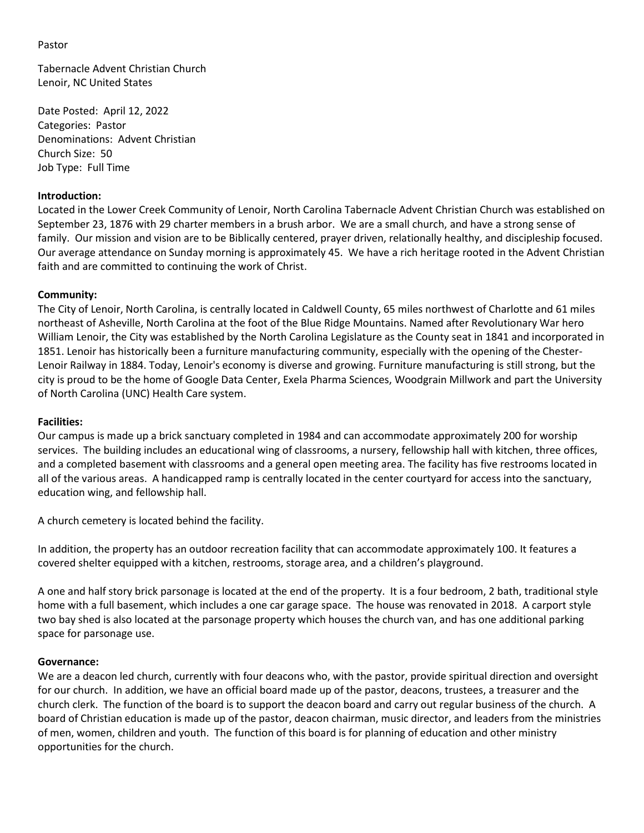### Pastor

Tabernacle Advent Christian Church Lenoir, NC United States

Date Posted: April 12, 2022 Categories: Pastor Denominations: Advent Christian Church Size: 50 Job Type: Full Time

### **Introduction:**

Located in the Lower Creek Community of Lenoir, North Carolina Tabernacle Advent Christian Church was established on September 23, 1876 with 29 charter members in a brush arbor. We are a small church, and have a strong sense of family. Our mission and vision are to be Biblically centered, prayer driven, relationally healthy, and discipleship focused. Our average attendance on Sunday morning is approximately 45. We have a rich heritage rooted in the Advent Christian faith and are committed to continuing the work of Christ.

## **Community:**

The City of Lenoir, North Carolina, is centrally located in [Caldwell County,](http://www.caldwellcountync.org/history-of-caldwell-county) 65 miles northwest of Charlotte and 61 miles northeast of Asheville, North Carolina at the foot of the Blue Ridge Mountains. Named after Revolutionary War hero William Lenoir, the City was established by the North Carolina Legislature as the County seat in 1841 and incorporated in 1851. Lenoir has historically been a furniture manufacturing community, especially with the opening of the Chester-Lenoir Railway in 1884. Today, Lenoir's economy is diverse and growing. Furniture manufacturing is still strong, but the city is proud to be the home of Google Data Center, Exela Pharma Sciences, Woodgrain Millwork and part the University of North Carolina (UNC) Health Care system.

### **Facilities:**

Our campus is made up a brick sanctuary completed in 1984 and can accommodate approximately 200 for worship services. The building includes an educational wing of classrooms, a nursery, fellowship hall with kitchen, three offices, and a completed basement with classrooms and a general open meeting area. The facility has five restrooms located in all of the various areas. A handicapped ramp is centrally located in the center courtyard for access into the sanctuary, education wing, and fellowship hall.

A church cemetery is located behind the facility.

In addition, the property has an outdoor recreation facility that can accommodate approximately 100. It features a covered shelter equipped with a kitchen, restrooms, storage area, and a children's playground.

A one and half story brick parsonage is located at the end of the property. It is a four bedroom, 2 bath, traditional style home with a full basement, which includes a one car garage space. The house was renovated in 2018. A carport style two bay shed is also located at the parsonage property which houses the church van, and has one additional parking space for parsonage use.

#### **Governance:**

We are a deacon led church, currently with four deacons who, with the pastor, provide spiritual direction and oversight for our church. In addition, we have an official board made up of the pastor, deacons, trustees, a treasurer and the church clerk. The function of the board is to support the deacon board and carry out regular business of the church. A board of Christian education is made up of the pastor, deacon chairman, music director, and leaders from the ministries of men, women, children and youth. The function of this board is for planning of education and other ministry opportunities for the church.